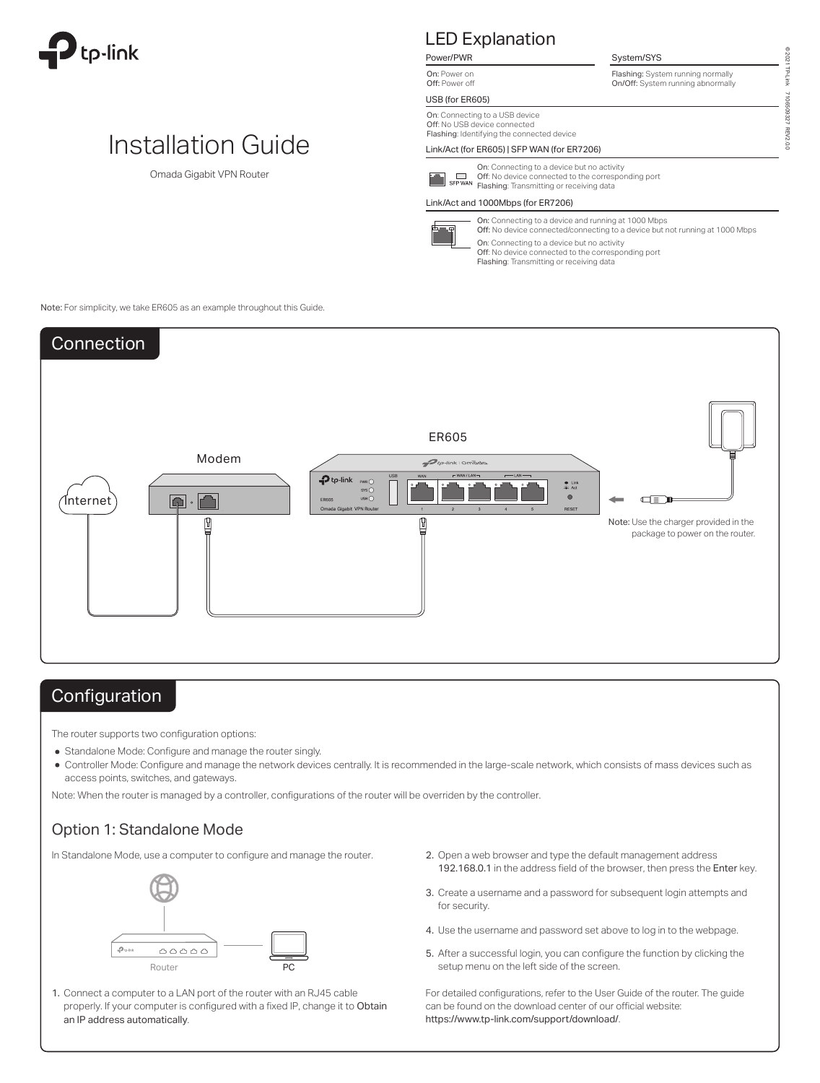

# Installation Guide

Omada Gigabit VPN Router

### LED Explanation Power/PWR

On: Power on Off: Power off

### USB (for ER605)

On: Connecting to a USB device Off: No USB device connected Flashing: Identifying the connected device

### Link/Act (for ER605) | SFP WAN (for ER7206)



On: Connecting to a device but no activity Off: No device connected to the corresponding port Flashing: Transmitting or receiving data

#### Link/Act and 1000Mbps (for ER7206)



On: Connecting to a device and running at 1000 Mbps Off: No device connected/connecting to a device but not running at 1000 Mbps On: Connecting to a device but no activity Off: No device connected to the corresponding port Flashing: Transmitting or receiving data

Flashing: System running normally On/Off: System running abnormally

System/SYS

Note: For simplicity, we take ER605 as an example throughout this Guide.



## **Configuration**

The router supports two configuration options:

- Standalone Mode: Configure and manage the router singly.
- Controller Mode: Configure and manage the network devices centrally. It is recommended in the large-scale network, which consists of mass devices such as access points, switches, and gateways.

Note: When the router is managed by a controller, configurations of the router will be overriden by the controller.

### Option 1: Standalone Mode

In Standalone Mode, use a computer to configure and manage the router.



Connect a computer to a LAN port of the router with an RJ45 cable properly. If your computer is configured with a fixed IP, change it to Obtain an IP address automatically.

- 2. Open a web browser and type the default management address 192.168.0.1 in the address field of the browser, then press the Enter key.
- **3.** Create a username and a password for subsequent login attempts and for security.
- 4. Use the username and password set above to log in to the webpage.
- **5.** After a successful login, you can configure the function by clicking the setup menu on the left side of the screen.

1. For detailed configurations, refer to the User Guide of the router. The guide can be found on the download center of our official website: https://www.tp-link.com/support/download/.